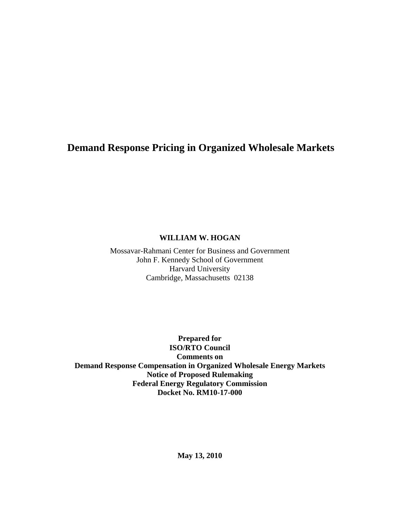### **Demand Response Pricing in Organized Wholesale Markets**

#### **WILLIAM W. HOGAN**

Mossavar-Rahmani Center for Business and Government John F. Kennedy School of Government Harvard University Cambridge, Massachusetts 02138

**Prepared for ISO/RTO Council Comments on Demand Response Compensation in Organized Wholesale Energy Markets Notice of Proposed Rulemaking Federal Energy Regulatory Commission Docket No. RM10-17-000**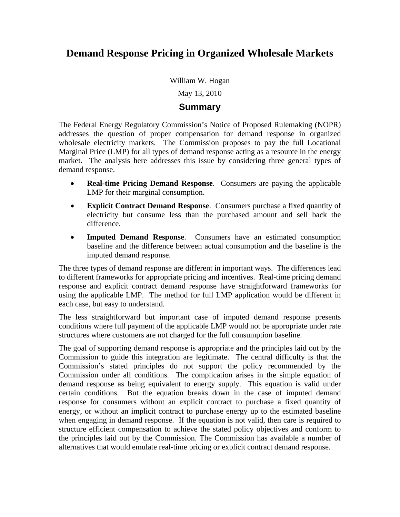### **Demand Response Pricing in Organized Wholesale Markets**

William W. Hogan

May 13, 2010

#### **Summary**

The Federal Energy Regulatory Commission's Notice of Proposed Rulemaking (NOPR) addresses the question of proper compensation for demand response in organized wholesale electricity markets. The Commission proposes to pay the full Locational Marginal Price (LMP) for all types of demand response acting as a resource in the energy market. The analysis here addresses this issue by considering three general types of demand response.

- **Real-time Pricing Demand Response**. Consumers are paying the applicable LMP for their marginal consumption.
- **Explicit Contract Demand Response**. Consumers purchase a fixed quantity of electricity but consume less than the purchased amount and sell back the difference.
- **Imputed Demand Response**. Consumers have an estimated consumption baseline and the difference between actual consumption and the baseline is the imputed demand response.

The three types of demand response are different in important ways. The differences lead to different frameworks for appropriate pricing and incentives. Real-time pricing demand response and explicit contract demand response have straightforward frameworks for using the applicable LMP. The method for full LMP application would be different in each case, but easy to understand.

The less straightforward but important case of imputed demand response presents conditions where full payment of the applicable LMP would not be appropriate under rate structures where customers are not charged for the full consumption baseline.

The goal of supporting demand response is appropriate and the principles laid out by the Commission to guide this integration are legitimate. The central difficulty is that the Commission's stated principles do not support the policy recommended by the Commission under all conditions. The complication arises in the simple equation of demand response as being equivalent to energy supply. This equation is valid under certain conditions. But the equation breaks down in the case of imputed demand response for consumers without an explicit contract to purchase a fixed quantity of energy, or without an implicit contract to purchase energy up to the estimated baseline when engaging in demand response. If the equation is not valid, then care is required to structure efficient compensation to achieve the stated policy objectives and conform to the principles laid out by the Commission. The Commission has available a number of alternatives that would emulate real-time pricing or explicit contract demand response.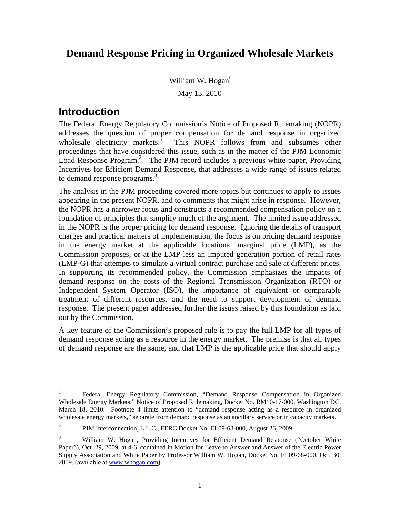#### **Demand Response Pricing in Organized Wholesale Markets**

William W. Hogan<sup>i</sup>

May 13, 2010

### **Introduction**

 $\overline{a}$ 

The Federal Energy Regulatory Commission's Notice of Proposed Rulemaking (NOPR) addresses the question of proper compensation for demand response in organized wholesale electricity markets.<sup>1</sup> This NOPR follows from and subsumes other proceedings that have considered this issue, such as in the matter of the PJM Economic Load Response Program.<sup>2</sup> The PJM record includes a previous white paper, Providing Incentives for Efficient Demand Response, that addresses a wide range of issues related to demand response programs. $3$ 

The analysis in the PJM proceeding covered more topics but continues to apply to issues appearing in the present NOPR, and to comments that might arise in response. However, the NOPR has a narrower focus and constructs a recommended compensation policy on a foundation of principles that simplify much of the argument. The limited issue addressed in the NOPR is the proper pricing for demand response. Ignoring the details of transport charges and practical matters of implementation, the focus is on pricing demand response in the energy market at the applicable locational marginal price (LMP), as the Commission proposes, or at the LMP less an imputed generation portion of retail rates (LMP-G) that attempts to simulate a virtual contract purchase and sale at different prices. In supporting its recommended policy, the Commission emphasizes the impacts of demand response on the costs of the Regional Transmission Organization (RTO) or Independent System Operator (ISO), the importance of equivalent or comparable treatment of different resources, and the need to support development of demand response. The present paper addressed further the issues raised by this foundation as laid out by the Commission.

A key feature of the Commission's proposed rule is to pay the full LMP for all types of demand response acting as a resource in the energy market. The premise is that all types of demand response are the same, and that LMP is the applicable price that should apply

<sup>1</sup> Federal Energy Regulatory Commission, "Demand Response Compensation in Organized Wholesale Energy Markets," Notice of Proposed Rulemaking, Docket No. RM10-17-000, Washington DC, March 18, 2010. Footnote 4 limits attention to "demand response acting as a resource in organized wholesale energy markets," separate from demand response as an ancillary service or in capacity markets.

<sup>2</sup> PJM Interconnection, L.L.C., FERC Docket No. EL09-68-000, August 26, 2009.

<sup>3</sup> William W. Hogan, Providing Incentives for Efficient Demand Response ("October White Paper"), Oct. 29, 2009, at 4-6, contained in Motion for Leave to Answer and Answer of the Electric Power Supply Association and White Paper by Professor William W. Hogan, Docket No. EL09-68-000, Oct. 30, 2009. (available at www.whogan.com)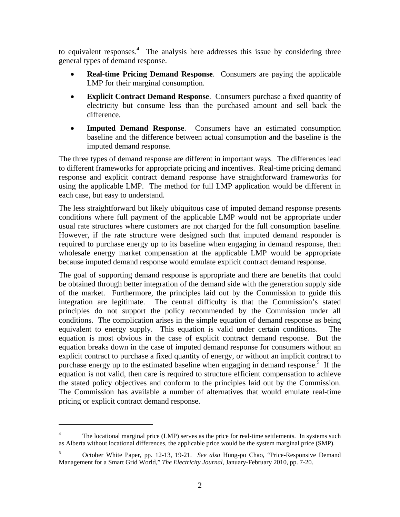to equivalent responses.<sup>4</sup> The analysis here addresses this issue by considering three general types of demand response.

- **Real-time Pricing Demand Response**. Consumers are paying the applicable LMP for their marginal consumption.
- **Explicit Contract Demand Response**. Consumers purchase a fixed quantity of electricity but consume less than the purchased amount and sell back the difference.
- **Imputed Demand Response**. Consumers have an estimated consumption baseline and the difference between actual consumption and the baseline is the imputed demand response.

The three types of demand response are different in important ways. The differences lead to different frameworks for appropriate pricing and incentives. Real-time pricing demand response and explicit contract demand response have straightforward frameworks for using the applicable LMP. The method for full LMP application would be different in each case, but easy to understand.

The less straightforward but likely ubiquitous case of imputed demand response presents conditions where full payment of the applicable LMP would not be appropriate under usual rate structures where customers are not charged for the full consumption baseline. However, if the rate structure were designed such that imputed demand responder is required to purchase energy up to its baseline when engaging in demand response, then wholesale energy market compensation at the applicable LMP would be appropriate because imputed demand response would emulate explicit contract demand response.

The goal of supporting demand response is appropriate and there are benefits that could be obtained through better integration of the demand side with the generation supply side of the market. Furthermore, the principles laid out by the Commission to guide this integration are legitimate. The central difficulty is that the Commission's stated principles do not support the policy recommended by the Commission under all conditions. The complication arises in the simple equation of demand response as being equivalent to energy supply. This equation is valid under certain conditions. The equation is most obvious in the case of explicit contract demand response. But the equation breaks down in the case of imputed demand response for consumers without an explicit contract to purchase a fixed quantity of energy, or without an implicit contract to purchase energy up to the estimated baseline when engaging in demand response.<sup>5</sup> If the equation is not valid, then care is required to structure efficient compensation to achieve the stated policy objectives and conform to the principles laid out by the Commission. The Commission has available a number of alternatives that would emulate real-time pricing or explicit contract demand response.

<u>.</u>

<sup>4</sup> The locational marginal price (LMP) serves as the price for real-time settlements. In systems such as Alberta without locational differences, the applicable price would be the system marginal price (SMP).

<sup>5</sup> October White Paper, pp. 12-13, 19-21. *See also* Hung-po Chao, "Price-Responsive Demand Management for a Smart Grid World," *The Electricity Journal*, January-February 2010, pp. 7-20.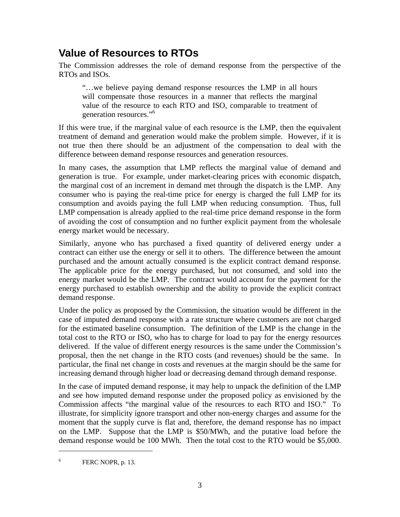## **Value of Resources to RTOs**

The Commission addresses the role of demand response from the perspective of the RTOs and ISOs.

"…we believe paying demand response resources the LMP in all hours will compensate those resources in a manner that reflects the marginal value of the resource to each RTO and ISO, comparable to treatment of generation resources."<sup>6</sup>

If this were true, if the marginal value of each resource is the LMP, then the equivalent treatment of demand and generation would make the problem simple. However, if it is not true then there should be an adjustment of the compensation to deal with the difference between demand response resources and generation resources.

In many cases, the assumption that LMP reflects the marginal value of demand and generation is true. For example, under market-clearing prices with economic dispatch, the marginal cost of an increment in demand met through the dispatch is the LMP. Any consumer who is paying the real-time price for energy is charged the full LMP for its consumption and avoids paying the full LMP when reducing consumption. Thus, full LMP compensation is already applied to the real-time price demand response in the form of avoiding the cost of consumption and no further explicit payment from the wholesale energy market would be necessary.

Similarly, anyone who has purchased a fixed quantity of delivered energy under a contract can either use the energy or sell it to others. The difference between the amount purchased and the amount actually consumed is the explicit contract demand response. The applicable price for the energy purchased, but not consumed, and sold into the energy market would be the LMP. The contract would account for the payment for the energy purchased to establish ownership and the ability to provide the explicit contract demand response.

Under the policy as proposed by the Commission, the situation would be different in the case of imputed demand response with a rate structure where customers are not charged for the estimated baseline consumption. The definition of the LMP is the change in the total cost to the RTO or ISO, who has to charge for load to pay for the energy resources delivered. If the value of different energy resources is the same under the Commission's proposal, then the net change in the RTO costs (and revenues) should be the same. In particular, the final net change in costs and revenues at the margin should be the same for increasing demand through higher load or decreasing demand through demand response.

In the case of imputed demand response, it may help to unpack the definition of the LMP and see how imputed demand response under the proposed policy as envisioned by the Commission affects "the marginal value of the resources to each RTO and ISO." To illustrate, for simplicity ignore transport and other non-energy charges and assume for the moment that the supply curve is flat and, therefore, the demand response has no impact on the LMP. Suppose that the LMP is \$50/MWh, and the putative load before the demand response would be 100 MWh. Then the total cost to the RTO would be \$5,000.

6 FERC NOPR, p. 13.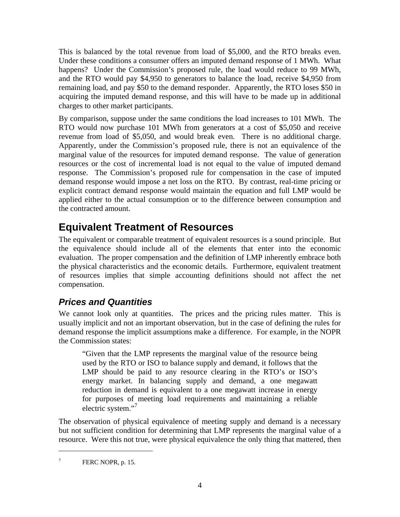This is balanced by the total revenue from load of \$5,000, and the RTO breaks even. Under these conditions a consumer offers an imputed demand response of 1 MWh. What happens? Under the Commission's proposed rule, the load would reduce to 99 MWh, and the RTO would pay \$4,950 to generators to balance the load, receive \$4,950 from remaining load, and pay \$50 to the demand responder. Apparently, the RTO loses \$50 in acquiring the imputed demand response, and this will have to be made up in additional charges to other market participants.

By comparison, suppose under the same conditions the load increases to 101 MWh. The RTO would now purchase 101 MWh from generators at a cost of \$5,050 and receive revenue from load of \$5,050, and would break even. There is no additional charge. Apparently, under the Commission's proposed rule, there is not an equivalence of the marginal value of the resources for imputed demand response. The value of generation resources or the cost of incremental load is not equal to the value of imputed demand response. The Commission's proposed rule for compensation in the case of imputed demand response would impose a net loss on the RTO. By contrast, real-time pricing or explicit contract demand response would maintain the equation and full LMP would be applied either to the actual consumption or to the difference between consumption and the contracted amount.

# **Equivalent Treatment of Resources**

The equivalent or comparable treatment of equivalent resources is a sound principle. But the equivalence should include all of the elements that enter into the economic evaluation. The proper compensation and the definition of LMP inherently embrace both the physical characteristics and the economic details. Furthermore, equivalent treatment of resources implies that simple accounting definitions should not affect the net compensation.

### *Prices and Quantities*

We cannot look only at quantities. The prices and the pricing rules matter. This is usually implicit and not an important observation, but in the case of defining the rules for demand response the implicit assumptions make a difference. For example, in the NOPR the Commission states:

"Given that the LMP represents the marginal value of the resource being used by the RTO or ISO to balance supply and demand, it follows that the LMP should be paid to any resource clearing in the RTO's or ISO's energy market. In balancing supply and demand, a one megawatt reduction in demand is equivalent to a one megawatt increase in energy for purposes of meeting load requirements and maintaining a reliable electric system."<sup>7</sup>

The observation of physical equivalence of meeting supply and demand is a necessary but not sufficient condition for determining that LMP represents the marginal value of a resource. Were this not true, were physical equivalence the only thing that mattered, then

<sup>7</sup> FERC NOPR, p. 15.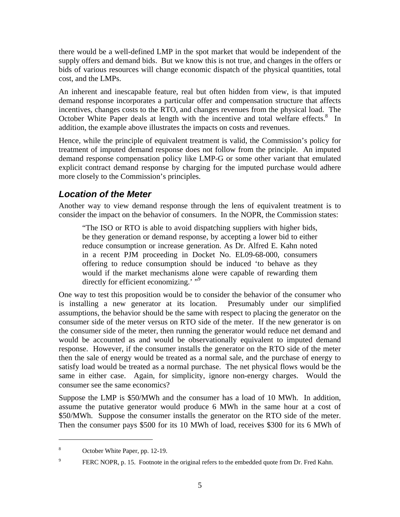there would be a well-defined LMP in the spot market that would be independent of the supply offers and demand bids. But we know this is not true, and changes in the offers or bids of various resources will change economic dispatch of the physical quantities, total cost, and the LMPs.

An inherent and inescapable feature, real but often hidden from view, is that imputed demand response incorporates a particular offer and compensation structure that affects incentives, changes costs to the RTO, and changes revenues from the physical load. The October White Paper deals at length with the incentive and total welfare effects.<sup>8</sup> In addition, the example above illustrates the impacts on costs and revenues.

Hence, while the principle of equivalent treatment is valid, the Commission's policy for treatment of imputed demand response does not follow from the principle. An imputed demand response compensation policy like LMP-G or some other variant that emulated explicit contract demand response by charging for the imputed purchase would adhere more closely to the Commission's principles.

#### *Location of the Meter*

Another way to view demand response through the lens of equivalent treatment is to consider the impact on the behavior of consumers. In the NOPR, the Commission states:

"The ISO or RTO is able to avoid dispatching suppliers with higher bids, be they generation or demand response, by accepting a lower bid to either reduce consumption or increase generation. As Dr. Alfred E. Kahn noted in a recent PJM proceeding in Docket No. EL09-68-000, consumers offering to reduce consumption should be induced 'to behave as they would if the market mechanisms alone were capable of rewarding them directly for efficient economizing.' "9

One way to test this proposition would be to consider the behavior of the consumer who is installing a new generator at its location. Presumably under our simplified assumptions, the behavior should be the same with respect to placing the generator on the consumer side of the meter versus on RTO side of the meter. If the new generator is on the consumer side of the meter, then running the generator would reduce net demand and would be accounted as and would be observationally equivalent to imputed demand response. However, if the consumer installs the generator on the RTO side of the meter then the sale of energy would be treated as a normal sale, and the purchase of energy to satisfy load would be treated as a normal purchase. The net physical flows would be the same in either case. Again, for simplicity, ignore non-energy charges. Would the consumer see the same economics?

Suppose the LMP is \$50/MWh and the consumer has a load of 10 MWh. In addition, assume the putative generator would produce 6 MWh in the same hour at a cost of \$50/MWh. Suppose the consumer installs the generator on the RTO side of the meter. Then the consumer pays \$500 for its 10 MWh of load, receives \$300 for its 6 MWh of

<sup>8</sup> October White Paper, pp. 12-19.

<sup>9</sup> FERC NOPR, p. 15. Footnote in the original refers to the embedded quote from Dr. Fred Kahn.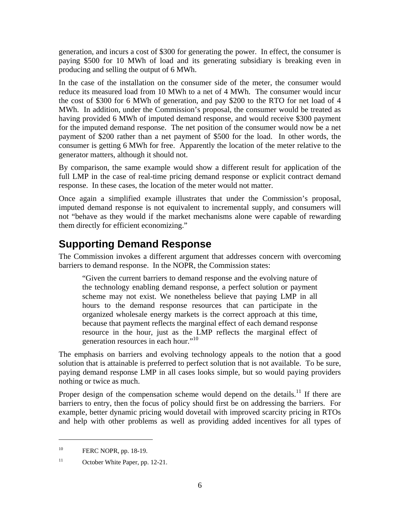generation, and incurs a cost of \$300 for generating the power. In effect, the consumer is paying \$500 for 10 MWh of load and its generating subsidiary is breaking even in producing and selling the output of 6 MWh.

In the case of the installation on the consumer side of the meter, the consumer would reduce its measured load from 10 MWh to a net of 4 MWh. The consumer would incur the cost of \$300 for 6 MWh of generation, and pay \$200 to the RTO for net load of 4 MWh. In addition, under the Commission's proposal, the consumer would be treated as having provided 6 MWh of imputed demand response, and would receive \$300 payment for the imputed demand response. The net position of the consumer would now be a net payment of \$200 rather than a net payment of \$500 for the load. In other words, the consumer is getting 6 MWh for free. Apparently the location of the meter relative to the generator matters, although it should not.

By comparison, the same example would show a different result for application of the full LMP in the case of real-time pricing demand response or explicit contract demand response. In these cases, the location of the meter would not matter.

Once again a simplified example illustrates that under the Commission's proposal, imputed demand response is not equivalent to incremental supply, and consumers will not "behave as they would if the market mechanisms alone were capable of rewarding them directly for efficient economizing."

# **Supporting Demand Response**

The Commission invokes a different argument that addresses concern with overcoming barriers to demand response. In the NOPR, the Commission states:

"Given the current barriers to demand response and the evolving nature of the technology enabling demand response, a perfect solution or payment scheme may not exist. We nonetheless believe that paying LMP in all hours to the demand response resources that can participate in the organized wholesale energy markets is the correct approach at this time, because that payment reflects the marginal effect of each demand response resource in the hour, just as the LMP reflects the marginal effect of generation resources in each hour."10

The emphasis on barriers and evolving technology appeals to the notion that a good solution that is attainable is preferred to perfect solution that is not available. To be sure, paying demand response LMP in all cases looks simple, but so would paying providers nothing or twice as much.

Proper design of the compensation scheme would depend on the details.<sup>11</sup> If there are barriers to entry, then the focus of policy should first be on addressing the barriers. For example, better dynamic pricing would dovetail with improved scarcity pricing in RTOs and help with other problems as well as providing added incentives for all types of

<sup>&</sup>lt;sup>10</sup> FERC NOPR, pp. 18-19.

<sup>&</sup>lt;sup>11</sup> October White Paper, pp. 12-21.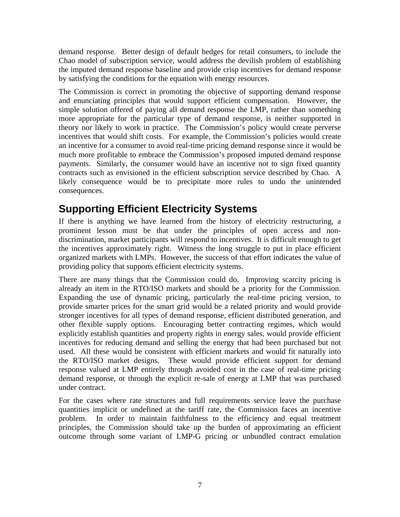demand response. Better design of default hedges for retail consumers, to include the Chao model of subscription service, would address the devilish problem of establishing the imputed demand response baseline and provide crisp incentives for demand response by satisfying the conditions for the equation with energy resources.

The Commission is correct in promoting the objective of supporting demand response and enunciating principles that would support efficient compensation. However, the simple solution offered of paying all demand response the LMP, rather than something more appropriate for the particular type of demand response, is neither supported in theory nor likely to work in practice. The Commission's policy would create perverse incentives that would shift costs. For example, the Commission's policies would create an incentive for a consumer to avoid real-time pricing demand response since it would be much more profitable to embrace the Commission's proposed imputed demand response payments. Similarly, the consumer would have an incentive not to sign fixed quantity contracts such as envisioned in the efficient subscription service described by Chao. A likely consequence would be to precipitate more rules to undo the unintended consequences.

## **Supporting Efficient Electricity Systems**

If there is anything we have learned from the history of electricity restructuring, a prominent lesson must be that under the principles of open access and nondiscrimination, market participants will respond to incentives. It is difficult enough to get the incentives approximately right. Witness the long struggle to put in place efficient organized markets with LMPs. However, the success of that effort indicates the value of providing policy that supports efficient electricity systems.

There are many things that the Commission could do. Improving scarcity pricing is already an item in the RTO/ISO markets and should be a priority for the Commission. Expanding the use of dynamic pricing, particularly the real-time pricing version, to provide smarter prices for the smart grid would be a related priority and would provide stronger incentives for all types of demand response, efficient distributed generation, and other flexible supply options. Encouraging better contracting regimes, which would explicitly establish quantities and property rights in energy sales, would provide efficient incentives for reducing demand and selling the energy that had been purchased but not used. All these would be consistent with efficient markets and would fit naturally into the RTO/ISO market designs. These would provide efficient support for demand response valued at LMP entirely through avoided cost in the case of real-time pricing demand response, or through the explicit re-sale of energy at LMP that was purchased under contract.

For the cases where rate structures and full requirements service leave the purchase quantities implicit or undefined at the tariff rate, the Commission faces an incentive problem. In order to maintain faithfulness to the efficiency and equal treatment principles, the Commission should take up the burden of approximating an efficient outcome through some variant of LMP-G pricing or unbundled contract emulation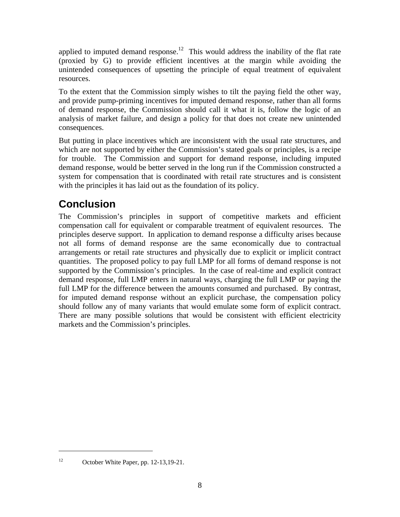applied to imputed demand response.<sup>12</sup> This would address the inability of the flat rate (proxied by G) to provide efficient incentives at the margin while avoiding the unintended consequences of upsetting the principle of equal treatment of equivalent resources.

To the extent that the Commission simply wishes to tilt the paying field the other way, and provide pump-priming incentives for imputed demand response, rather than all forms of demand response, the Commission should call it what it is, follow the logic of an analysis of market failure, and design a policy for that does not create new unintended consequences.

But putting in place incentives which are inconsistent with the usual rate structures, and which are not supported by either the Commission's stated goals or principles, is a recipe for trouble. The Commission and support for demand response, including imputed demand response, would be better served in the long run if the Commission constructed a system for compensation that is coordinated with retail rate structures and is consistent with the principles it has laid out as the foundation of its policy.

# **Conclusion**

The Commission's principles in support of competitive markets and efficient compensation call for equivalent or comparable treatment of equivalent resources. The principles deserve support. In application to demand response a difficulty arises because not all forms of demand response are the same economically due to contractual arrangements or retail rate structures and physically due to explicit or implicit contract quantities. The proposed policy to pay full LMP for all forms of demand response is not supported by the Commission's principles. In the case of real-time and explicit contract demand response, full LMP enters in natural ways, charging the full LMP or paying the full LMP for the difference between the amounts consumed and purchased. By contrast, for imputed demand response without an explicit purchase, the compensation policy should follow any of many variants that would emulate some form of explicit contract. There are many possible solutions that would be consistent with efficient electricity markets and the Commission's principles.

<sup>12</sup> October White Paper, pp. 12-13,19-21.